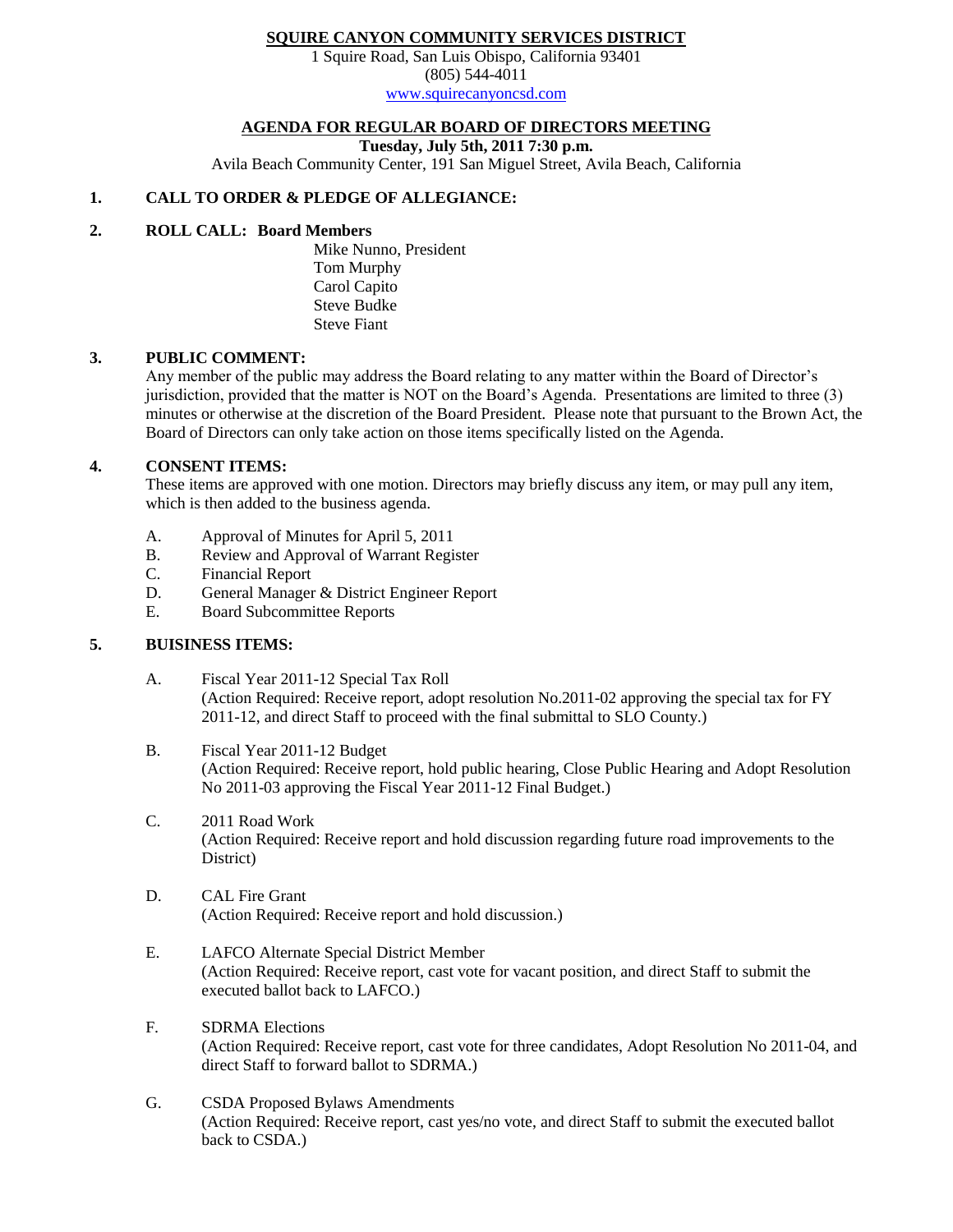### **SQUIRE CANYON COMMUNITY SERVICES DISTRICT**

1 Squire Road, San Luis Obispo, California 93401 (805) 544-4011

[www.squirecanyoncsd.com](http://www.squirecanyoncsd.com/)

# **AGENDA FOR REGULAR BOARD OF DIRECTORS MEETING**

**Tuesday, July 5th, 2011 7:30 p.m.**

Avila Beach Community Center, 191 San Miguel Street, Avila Beach, California

## **1. CALL TO ORDER & PLEDGE OF ALLEGIANCE:**

## **2. ROLL CALL: Board Members**

Mike Nunno, President Tom Murphy Carol Capito Steve Budke Steve Fiant

### **3. PUBLIC COMMENT:**

Any member of the public may address the Board relating to any matter within the Board of Director's jurisdiction, provided that the matter is NOT on the Board's Agenda. Presentations are limited to three (3) minutes or otherwise at the discretion of the Board President. Please note that pursuant to the Brown Act, the Board of Directors can only take action on those items specifically listed on the Agenda.

### **4. CONSENT ITEMS:**

These items are approved with one motion. Directors may briefly discuss any item, or may pull any item, which is then added to the business agenda.

- A. Approval of Minutes for April 5, 2011
- B. Review and Approval of Warrant Register<br>C. Financial Report
- Financial Report
- D. General Manager & District Engineer Report
- E. Board Subcommittee Reports

## **5. BUISINESS ITEMS:**

- A. Fiscal Year 2011-12 Special Tax Roll (Action Required: Receive report, adopt resolution No.2011-02 approving the special tax for FY 2011-12, and direct Staff to proceed with the final submittal to SLO County.)
- B. Fiscal Year 2011-12 Budget (Action Required: Receive report, hold public hearing, Close Public Hearing and Adopt Resolution No 2011-03 approving the Fiscal Year 2011-12 Final Budget.)
- C. 2011 Road Work (Action Required: Receive report and hold discussion regarding future road improvements to the District)
- D. CAL Fire Grant (Action Required: Receive report and hold discussion.)
- E. LAFCO Alternate Special District Member (Action Required: Receive report, cast vote for vacant position, and direct Staff to submit the executed ballot back to LAFCO.)
- F. SDRMA Elections (Action Required: Receive report, cast vote for three candidates, Adopt Resolution No 2011-04, and direct Staff to forward ballot to SDRMA.)
- G. CSDA Proposed Bylaws Amendments (Action Required: Receive report, cast yes/no vote, and direct Staff to submit the executed ballot back to CSDA.)